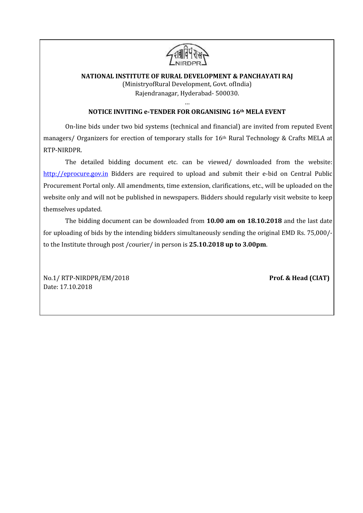

## **NATIONAL INSTITUTE OF RURAL DEVELOPMENT & PANCHAYATI RAJ** (MinistryofRural Development, Govt. ofIndia) Rajendranagar, Hyderabad- 500030.

#### … **NOTICE INVITING e-TENDER FOR ORGANISING 16th MELA EVENT**

On-line bids under two bid systems (technical and financial) are invited from reputed Event managers/ Organizers for erection of temporary stalls for 16th Rural Technology & Crafts MELA at RTP-NIRDPR.

The detailed bidding document etc. can be viewed/ downloaded from the website: http://eprocure.gov.in Bidders are required to upload and submit their e-bid on Central Public Procurement Portal only. All amendments, time extension, clarifications, etc., will be uploaded on the website only and will not be published in newspapers. Bidders should regularly visit website to keep themselves updated.

The bidding document can be downloaded from **10.00 am on 18.10.2018** and the last date for uploading of bids by the intending bidders simultaneously sending the original EMD Rs. 75,000/ to the Institute through post /courier/ in person is **25.10.2018 up to 3.00pm**.

No.1/ RTP-NIRDPR/EM/2018 **Prof. & Head (CIAT)** Date: 17.10.2018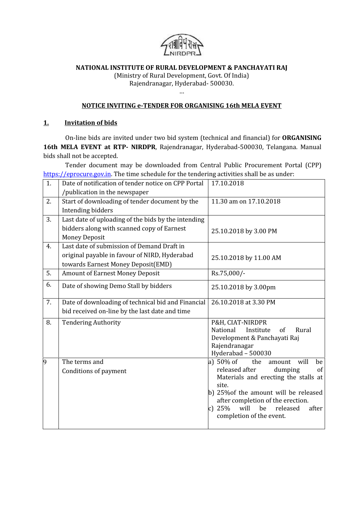

## **NATIONAL INSTITUTE OF RURAL DEVELOPMENT & PANCHAYATI RAJ**

(Ministry of Rural Development, Govt. Of India) Rajendranagar, Hyderabad- 500030.

 $\mathbf{m}$  . The set of  $\mathbf{m}$ 

### **NOTICE INVITING e-TENDER FOR ORGANISING 16th MELA EVENT**

### **1. Invitation of bids**

On-line bids are invited under two bid system (technical and financial) for **ORGANISING 16th MELA EVENT at RTP- NIRDPR**, Rajendranagar, Hyderabad-500030, Telangana. Manual bids shall not be accepted.

Tender document may be downloaded from Central Public Procurement Portal (CPP) https://eprocure.gov.in. The time schedule for the tendering activities shall be as under:

| 1. | Date of notification of tender notice on CPP Portal | 17.10.2018                                                                                                                                                                                                                                  |
|----|-----------------------------------------------------|---------------------------------------------------------------------------------------------------------------------------------------------------------------------------------------------------------------------------------------------|
|    | /publication in the newspaper                       |                                                                                                                                                                                                                                             |
| 2. | Start of downloading of tender document by the      | 11.30 am on 17.10.2018                                                                                                                                                                                                                      |
|    | Intending bidders                                   |                                                                                                                                                                                                                                             |
| 3. | Last date of uploading of the bids by the intending |                                                                                                                                                                                                                                             |
|    | bidders along with scanned copy of Earnest          | 25.10.2018 by 3.00 PM                                                                                                                                                                                                                       |
|    | <b>Money Deposit</b>                                |                                                                                                                                                                                                                                             |
| 4. | Last date of submission of Demand Draft in          |                                                                                                                                                                                                                                             |
|    | original payable in favour of NIRD, Hyderabad       | 25.10.2018 by 11.00 AM                                                                                                                                                                                                                      |
|    | towards Earnest Money Deposit(EMD)                  |                                                                                                                                                                                                                                             |
| 5. | <b>Amount of Earnest Money Deposit</b>              | Rs.75,000/-                                                                                                                                                                                                                                 |
| 6. | Date of showing Demo Stall by bidders               | 25.10.2018 by 3.00pm                                                                                                                                                                                                                        |
| 7. | Date of downloading of technical bid and Financial  | 26.10.2018 at 3.30 PM                                                                                                                                                                                                                       |
|    | bid received on-line by the last date and time      |                                                                                                                                                                                                                                             |
| 8. | <b>Tendering Authority</b>                          | P&H, CIAT-NIRDPR<br>National<br>Institute<br>Rural<br>of<br>Development & Panchayati Raj<br>Rajendranagar<br>Hyderabad - 500030                                                                                                             |
| 9  | The terms and                                       | a) $50\%$ of<br>the<br>will<br>amount<br>be                                                                                                                                                                                                 |
|    | Conditions of payment                               | released after<br>of<br>dumping<br>Materials and erecting the stalls at<br>site.<br>b) 25% of the amount will be released<br>after completion of the erection.<br>25%<br>will<br>be<br>released<br>after<br> c <br>completion of the event. |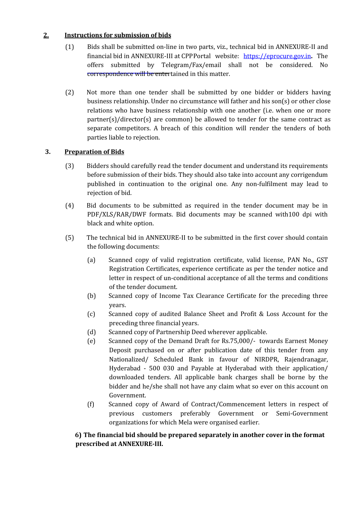# **2. Instructions for submission of bids**

- (1) Bids shall be submitted on-line in two parts, viz., technical bid in ANNEXURE-II and financial bid in ANNEXURE-III at CPPPortal website: https://eprocure.gov.in**.** The offers submitted by Telegram/Fax/email shall not be considered. No correspondence will be entertained in this matter.
- (2) Not more than one tender shall be submitted by one bidder or bidders having business relationship. Under no circumstance will father and his son(s) or other close relations who have business relationship with one another (i.e. when one or more  $partner(s)/directory(s)$  are common) be allowed to tender for the same contract as separate competitors. A breach of this condition will render the tenders of both parties liable to rejection.

## **3. Preparation of Bids**

- (3) Bidders should carefully read the tender document and understand its requirements before submission of their bids. They should also take into account any corrigendum published in continuation to the original one. Any non-fulfilment may lead to rejection of bid.
- (4) Bid documents to be submitted as required in the tender document may be in PDF/XLS/RAR/DWF formats. Bid documents may be scanned with100 dpi with black and white option.
- (5) The technical bid in ANNEXURE-II to be submitted in the first cover should contain the following documents:
	- (a) Scanned copy of valid registration certificate, valid license, PAN No., GST Registration Certificates, experience certificate as per the tender notice and letter in respect of un-conditional acceptance of all the terms and conditions of the tender document.
	- (b) Scanned copy of Income Tax Clearance Certificate for the preceding three years.
	- (c) Scanned copy of audited Balance Sheet and Profit & Loss Account for the preceding three financial years.
	- (d) Scanned copy of Partnership Deed wherever applicable.
	- (e) Scanned copy of the Demand Draft for Rs.75,000/- towards Earnest Money Deposit purchased on or after publication date of this tender from any Nationalized/ Scheduled Bank in favour of NIRDPR, Rajendranagar, Hyderabad - 500 030 and Payable at Hyderabad with their application/ downloaded tenders. All applicable bank charges shall be borne by the bidder and he/she shall not have any claim what so ever on this account on Government.
	- (f) Scanned copy of Award of Contract/Commencement letters in respect of previous customers preferably Government or Semi-Government organizations for which Mela were organised earlier.

# **6) The financial bid should be prepared separately in another cover in the format prescribed at ANNEXURE-III.**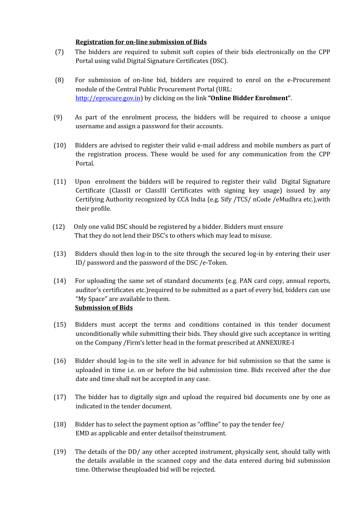### **Registration for on-line submission of Bids**

- (7) The bidders are required to submit soft copies of their bids electronically on the CPP Portal using valid Digital Signature Certificates (DSC).
- (8) For submission of on-line bid, bidders are required to enrol on the e-Procurement module of the Central Public Procurement Portal (URL: http://eprocure.gov.in) by clicking on the link **"Online Bidder Enrolment"**.
- (9) As part of the enrolment process, the bidders will be required to choose a unique username and assign a password for their accounts.
- (10) Bidders are advised to register their valid e-mail address and mobile numbers as part of the registration process. These would be used for any communication from the CPP Portal.
- (11) Upon enrolment the bidders will be required to register their valid Digital Signature Certificate (ClassII or ClassIII Certificates with signing key usage) issued by any Certifying Authority recognized by CCA India (e.g. Sify /TCS/ nCode /eMudhra etc.),with their profile.
- (12) Only one valid DSC should be registered by a bidder. Bidders must ensure That they do not lend their DSC's to others which may lead to misuse.
- (13) Bidders should then log-in to the site through the secured log-in by entering their user ID/ password and the password of the DSC /e-Token.
- (14) For uploading the same set of standard documents (e.g. PAN card copy, annual reports, auditor's certificates etc.)required to be submitted as a part of every bid, bidders can use "My Space" are available to them. **Submission of Bids**
- (15) Bidders must accept the terms and conditions contained in this tender document unconditionally while submitting their bids. They should give such acceptance in writing on the Company /Firm's letter head in the format prescribed at ANNEXURE-I
- (16) Bidder should log-in to the site well in advance for bid submission so that the same is uploaded in time i.e. on or before the bid submission time. Bids received after the due date and time shall not be accepted in any case.
- (17) The bidder has to digitally sign and upload the required bid documents one by one as indicated in the tender document.
- (18) Bidder has to select the payment option as "offline" to pay the tender fee/ EMD as applicable and enter detailsof theinstrument.
- (19) The details of the DD/ any other accepted instrument, physically sent, should tally with the details available in the scanned copy and the data entered during bid submission time. Otherwise theuploaded bid will be rejected.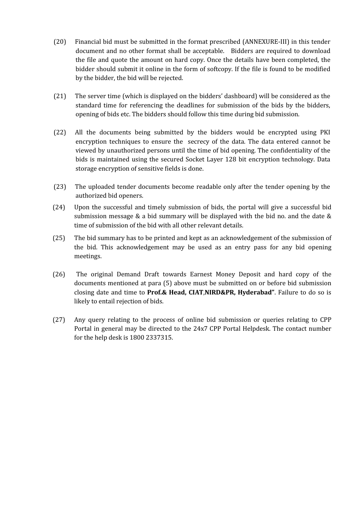- (20) Financial bid must be submitted in the format prescribed (ANNEXURE-III) in this tender document and no other format shall be acceptable. Bidders are required to download the file and quote the amount on hard copy.Once the details have been completed, the bidder should submit it online in the form of softcopy. If the file is found to be modified by the bidder, the bid will be rejected.
- (21) The server time (which is displayed on the bidders' dashboard) will be considered as the standard time for referencing the deadlines for submission of the bids by the bidders, opening of bids etc. The bidders should follow this time during bid submission.
- (22) All the documents being submitted by the bidders would be encrypted using PKI encryption techniques to ensure the secrecy of the data. The data entered cannot be viewed by unauthorized persons until the time of bid opening. The confidentiality of the bids is maintained using the secured Socket Layer 128 bit encryption technology. Data storage encryption of sensitive fields is done.
- (23) The uploaded tender documents become readable only after the tender opening by the authorized bid openers.
- (24) Upon the successful and timely submission of bids, the portal will give a successful bid submission message & a bid summary will be displayed with the bid no. and the date & time of submission of the bid with all other relevant details.
- (25) The bid summary has to be printed and kept as an acknowledgement of the submission of the bid. This acknowledgement may be used as an entry pass for any bid opening meetings.
- (26) The original Demand Draft towards Earnest Money Deposit and hard copy of the documents mentioned at para (5) above must be submitted on or before bid submission closing date and time to **Prof.& Head, CIAT**,**NIRD&PR, Hyderabad"**. Failure to do so is likely to entail rejection of bids.
- (27) Any query relating to the process of online bid submission or queries relating to CPP Portal in general may be directed to the 24x7 CPP Portal Helpdesk. The contact number for the help desk is 1800 2337315.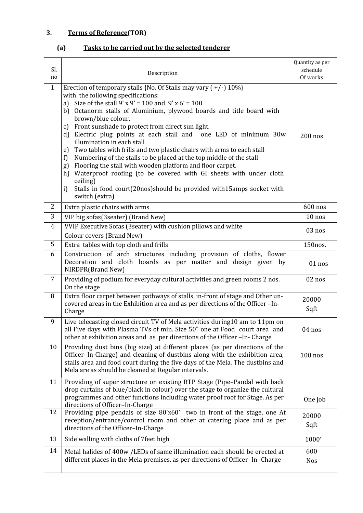# **3. Terms of Reference(TOR)**

# **(a) Tasks to be carried out by the selected tenderer**

| Sl.<br>no           | Description                                                                                                                                                                                                                                                                                                                                                                                                                                                                                                                                                                                                                                                                                                                                                                                                                                                   | Quantity as per<br>schedule<br>Of works |
|---------------------|---------------------------------------------------------------------------------------------------------------------------------------------------------------------------------------------------------------------------------------------------------------------------------------------------------------------------------------------------------------------------------------------------------------------------------------------------------------------------------------------------------------------------------------------------------------------------------------------------------------------------------------------------------------------------------------------------------------------------------------------------------------------------------------------------------------------------------------------------------------|-----------------------------------------|
| $\mathbf{1}$        | Erection of temporary stalls {No. Of Stalls may vary $(+/-)$ 10%}<br>with the following specifications:<br>a) Size of the stall $9' \times 9' = 100$ and $9' \times 6' = 100$<br>b) Octanorm stalls of Aluminium, plywood boards and title board with<br>brown/blue colour.<br>Front sunshade to protect from direct sun light.<br>C)<br>d) Electric plug points at each stall and one LED of minimum 30w<br>illumination in each stall<br>Two tables with frills and two plastic chairs with arms to each stall<br>e)<br>Numbering of the stalls to be placed at the top middle of the stall<br>f)<br>Flooring the stall with wooden platform and floor carpet.<br>g)<br>Waterproof roofing (to be covered with GI sheets with under cloth<br>h)<br>ceiling)<br>Stalls in food court(20nos)should be provided with15amps socket with<br>i)<br>switch (extra) | $200$ nos                               |
| 2                   | Extra plastic chairs with arms                                                                                                                                                                                                                                                                                                                                                                                                                                                                                                                                                                                                                                                                                                                                                                                                                                | 600 nos                                 |
| 3<br>$\overline{4}$ | VIP big sofas(3seater) (Brand New)<br>VVIP Executive Sofas (3seater) with cushion pillows and white                                                                                                                                                                                                                                                                                                                                                                                                                                                                                                                                                                                                                                                                                                                                                           | $10$ nos                                |
|                     | Colour covers (Brand New)                                                                                                                                                                                                                                                                                                                                                                                                                                                                                                                                                                                                                                                                                                                                                                                                                                     | 03 nos                                  |
| 5                   | Extra tables with top cloth and frills                                                                                                                                                                                                                                                                                                                                                                                                                                                                                                                                                                                                                                                                                                                                                                                                                        | 150nos.                                 |
| 6                   | Construction of arch structures including provision of cloths, flower<br>Decoration and cloth boards as per matter and design given by<br>NIRDPR(Brand New)                                                                                                                                                                                                                                                                                                                                                                                                                                                                                                                                                                                                                                                                                                   | 01 nos                                  |
| 7                   | Providing of podium for everyday cultural activities and green rooms 2 nos.<br>On the stage                                                                                                                                                                                                                                                                                                                                                                                                                                                                                                                                                                                                                                                                                                                                                                   | 02 nos                                  |
| 8                   | Extra floor carpet between pathways of stalls, in-front of stage and Other un-<br>covered areas in the Exhibition area and as per directions of the Officer-In-<br>Charge                                                                                                                                                                                                                                                                                                                                                                                                                                                                                                                                                                                                                                                                                     | 20000<br>Sqft                           |
| 9                   | Live telecasting closed circuit TV of Mela activities during10 am to 11pm on<br>all Five days with Plasma TVs of min. Size 50" one at Food court area and<br>other at exhibition areas and as per directions of the Officer - In- Charge                                                                                                                                                                                                                                                                                                                                                                                                                                                                                                                                                                                                                      | 04 nos                                  |
| 10                  | Providing dust bins (big size) at different places (as per directions of the<br>Officer-In-Charge) and cleaning of dustbins along with the exhibition area,<br>stalls area and food court during the five days of the Mela. The dustbins and<br>Mela are as should be cleaned at Regular intervals.                                                                                                                                                                                                                                                                                                                                                                                                                                                                                                                                                           | $100$ nos                               |
| 11                  | Providing of super structure on existing RTP Stage (Pipe-Pandal with back<br>drop curtains of blue/black in colour) over the stage to organize the cultural<br>programmes and other functions including water proof roof for Stage. As per<br>directions of Officer-In-Charge                                                                                                                                                                                                                                                                                                                                                                                                                                                                                                                                                                                 | One job                                 |
| 12                  | Providing pipe pendals of size 80'x60' two in front of the stage, one At<br>reception/entrance/control room and other at catering place and as per<br>directions of the Officer-In-Charge                                                                                                                                                                                                                                                                                                                                                                                                                                                                                                                                                                                                                                                                     | 20000<br>Sqft                           |
| 13                  | Side walling with cloths of 7 feet high                                                                                                                                                                                                                                                                                                                                                                                                                                                                                                                                                                                                                                                                                                                                                                                                                       | 1000'                                   |
| 14                  | Metal halides of 400w /LEDs of same illumination each should be erected at<br>different places in the Mela premises. as per directions of Officer-In-Charge                                                                                                                                                                                                                                                                                                                                                                                                                                                                                                                                                                                                                                                                                                   | 600<br><b>Nos</b>                       |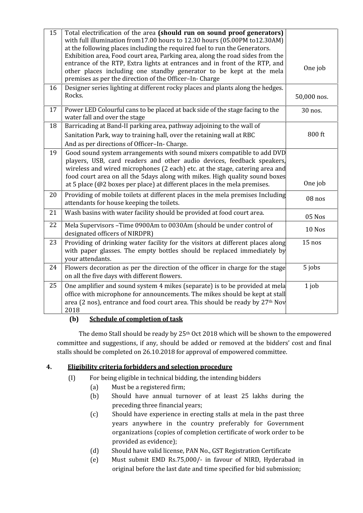| 15 | Total electrification of the area (should run on sound proof generators)<br>with full illumination from 17.00 hours to 12.30 hours (05.00PM to 12.30AM)<br>at the following places including the required fuel to run the Generators.<br>Exhibition area, Food court area, Parking area, along the road sides from the<br>entrance of the RTP, Extra lights at entrances and in front of the RTP, and<br>other places including one standby generator to be kept at the mela<br>premises as per the direction of the Officer-In-Charge | One job     |
|----|----------------------------------------------------------------------------------------------------------------------------------------------------------------------------------------------------------------------------------------------------------------------------------------------------------------------------------------------------------------------------------------------------------------------------------------------------------------------------------------------------------------------------------------|-------------|
| 16 | Designer series lighting at different rocky places and plants along the hedges.<br>Rocks.                                                                                                                                                                                                                                                                                                                                                                                                                                              | 50,000 nos. |
| 17 | Power LED Colourful cans to be placed at back side of the stage facing to the<br>water fall and over the stage                                                                                                                                                                                                                                                                                                                                                                                                                         | 30 nos.     |
| 18 | Barricading at Band-II parking area, pathway adjoining to the wall of<br>Sanitation Park, way to training hall, over the retaining wall at RBC<br>And as per directions of Officer-In-Charge.                                                                                                                                                                                                                                                                                                                                          | 800 ft      |
| 19 | Good sound system arrangements with sound mixers compatible to add DVD<br>players, USB, card readers and other audio devices, feedback speakers,<br>wireless and wired microphones (2 each) etc. at the stage, catering area and<br>food court area on all the 5days along with mikes. High quality sound boxes<br>at 5 place ( $@2$ boxes per place) at different places in the mela premises.                                                                                                                                        | One job     |
| 20 | Providing of mobile toilets at different places in the mela premises Including<br>attendants for house keeping the toilets.                                                                                                                                                                                                                                                                                                                                                                                                            | 08 nos      |
| 21 | Wash basins with water facility should be provided at food court area.                                                                                                                                                                                                                                                                                                                                                                                                                                                                 | 05 Nos      |
| 22 | Mela Supervisors - Time 0900Am to 0030Am (should be under control of<br>designated officers of NIRDPR)                                                                                                                                                                                                                                                                                                                                                                                                                                 | 10 Nos      |
| 23 | Providing of drinking water facility for the visitors at different places along<br>with paper glasses. The empty bottles should be replaced immediately by<br>your attendants.                                                                                                                                                                                                                                                                                                                                                         | $15$ nos    |
| 24 | Flowers decoration as per the direction of the officer in charge for the stage<br>on all the five days with different flowers.                                                                                                                                                                                                                                                                                                                                                                                                         | 5 jobs      |
| 25 | One amplifier and sound system 4 mikes (separate) is to be provided at mela<br>office with microphone for announcements. The mikes should be kept at stall<br>area (2 nos), entrance and food court area. This should be ready by 27 <sup>th</sup> Nov<br>2018                                                                                                                                                                                                                                                                         | $1$ job     |

# **(b) Schedule of completion of task**

The demo Stall should be ready by 25th Oct 2018 which will be shown to the empowered committee and suggestions, if any, should be added or removed at the bidders' cost and final stalls should be completed on 26.10.2018 for approval of empowered committee.

# **4. Eligibility criteria forbidders and selection procedure**

- (I) For being eligible in technical bidding, the intending bidders
	- (a) Must be a registered firm;
	- (b) Should have annual turnover of at least 25 lakhs during the preceding three financial years;
	- (c) Should have experience in erecting stalls at mela in the past three years anywhere in the country preferably for Government organizations (copies of completion certificate of work order to be provided as evidence);
	- (d) Should have valid license, PAN No., GST Registration Certificate
	- (e) Must submit EMD Rs.75,000/- in favour of NIRD, Hyderabad in original before the last date and time specified for bid submission;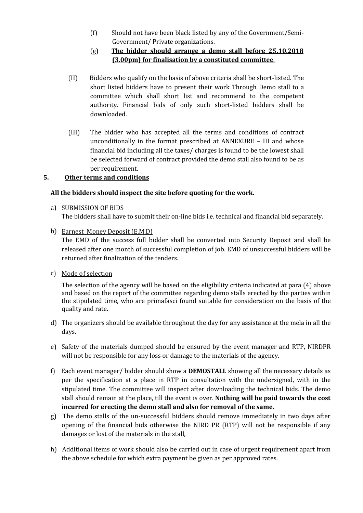(f) Should not have been black listed by any of the Government/Semi- Government/ Private organizations.

# (g) **The bidder should arrange a demo stall before 25.10.2018 (3.00pm) for finalisation by a constituted committee**.

- (II) Bidders who qualify on the basis of above criteria shall be short-listed. The short listed bidders have to present their work Through Demo stall to a committee which shall short list and recommend to the competent authority. Financial bids of only such short-listed bidders shall be downloaded.
- (III) The bidder who has accepted all the terms and conditions of contract unconditionally in the format prescribed at  $ANNEXURE - III$  and whose financial bid including all the taxes/ charges is found to be the lowest shall be selected forward of contract provided the demo stall also found to be as per requirement.

# **5. Other terms and conditions**

# **All the bidders should inspect the site before quoting for the work.**

- a) SUBMISSION OF BIDS The bidders shall have to submit their on-line bids i.e. technical and financial bid separately.
- b) Earnest Money Deposit (E.M.D)

The EMD of the success full bidder shall be converted into Security Deposit and shall be released after one month of successful completion of job. EMD of unsuccessful bidders will be returned after finalization of the tenders.

c) Mode of selection

The selection of the agency will be based on the eligibility criteria indicated at para (4) above and based on the report of the committee regarding demo stalls erected by the parties within the stipulated time, who are primafasci found suitable for consideration on the basis of the quality and rate.

- d) The organizers should be available throughout the day for any assistance atthe mela in all the days.
- e) Safety of the materials dumped should be ensured by the event manager and RTP, NIRDPR will not be responsible for any loss or damage to the materials of the agency.
- f) Each event manager/ bidder should show a **DEMOSTALL** showing all the necessary details as per the specification at a place in RTP in consultation with the undersigned, with in the stipulated time. The committee will inspect after downloading the technical bids. The demo stall should remain at the place, till the event is over. **Nothing will be paid towards the cost incurred for erecting the demo stall and also for removal of the same.**
- g) The demo stalls of the un-successful bidders should remove immediately in two days after opening of the financial bids otherwise the NIRD PR (RTP) will not be responsible if any damages or lost of the materials in the stall,
- h) Additional items of work should also be carried out in case of urgent requirement apart from the above schedule for which extra payment be given as per approved rates.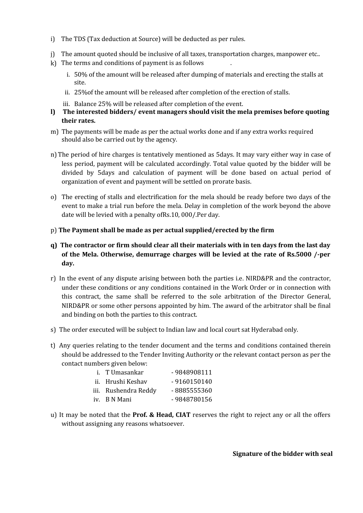- i) The TDS (Tax deduction at Source) will be deducted as per rules.
- j) The amount quoted should be inclusive of all taxes, transportation charges, manpower etc..
- $k$ ) The terms and conditions of payment is as follows
	- i. 50% of the amount will be released after dumping of materials and erecting the stalls at site.
	- ii. 25%of the amount will be released after completion of the erection of stalls.
	- iii. Balance 25% will be released after completion of the event.
- **l) The interested bidders/ event managers should visit the mela premises before quoting their rates.**
- m) The payments will be made as per the actual works done and if any extra works required should also be carried out by the agency.
- n) The period of hire charges is tentatively mentioned as 5days. It may vary either way in case of less period, payment will be calculated accordingly. Total value quoted by the bidder will be divided by 5days and calculation of payment will be done based on actual period of organization of event and payment will be settled on prorate basis.
- o) The erecting of stalls and electrification for the mela should be ready before two days of the event to make a trial run before the mela. Delay in completion of the work beyond the above date will be levied with a penalty ofRs.10, 000/.Per day.
- p) **The Payment shall be made as per actual supplied/erected by the firm**
- **q) The contractor or firm should clear all their materials with in ten days from the last day of the Mela. Otherwise, demurrage charges will be levied at the rate of Rs.5000 /-per day.**
- r) In the event of any dispute arising between both the parties i.e. NIRD&PR and the contractor, under these conditions or any conditions contained in the Work Order or in connection with this contract, the same shall be referred to the sole arbitration of the Director General, NIRD&PR or some other persons appointed by him. The award of the arbitrator shall be final and binding on both the parties to this contract.
- s) The order executed will be subject to Indian law and local court sat Hyderabad only.
- t) Any queries relating to the tender document and the terms and conditions contained therein should be addressed to the Tender Inviting Authority or the relevant contact person as per the contact numbers given below:

| i. TUmasankar        | -9848908111   |
|----------------------|---------------|
| ii. Hrushi Keshav    | $-9160150140$ |
| iii. Rushendra Reddy | -8885555360   |
| iv. B N Mani         | -9848780156   |

u) It may be noted that the **Prof. & Head, CIAT** reserves the right to reject any or all the offers without assigning any reasons whatsoever.

**Signature of the bidder with seal**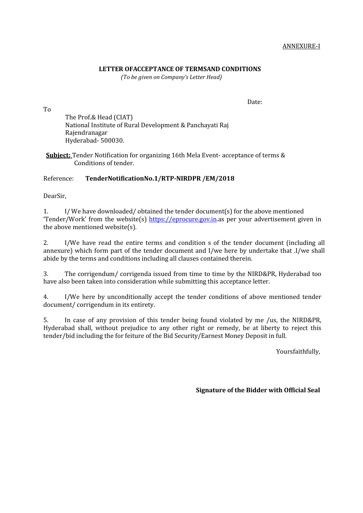#### **LETTER OFACCEPTANCE OF TERMSAND CONDITIONS**

*(To be given on Company's Letter Head)*

To

Date:

The Prof.& Head (CIAT) National Institute of Rural Development & Panchayati Raj Rajendranagar Hyderabad- 500030.

**Subject:** Tender Notification for organizing 16th Mela Event- acceptance of terms & Conditions of tender.

### Reference: **TenderNotificationNo.1/RTP-NIRDPR /EM/2018**

DearSir,

1. I/We have downloaded/ obtained the tender document(s) for the above mentioned 'Tender/Work' from the website(s) https://eprocure.gov.in.as per your advertisement given in the above mentioned website(s).

2. I/We have read the entire terms and condition s of the tender document (including all annexure) which form part of the tender document and I/we here by undertake that .I/we shall abide by the terms and conditions including all clauses contained therein.

3. The corrigendum/ corrigenda issued from time to time by the NIRD&PR, Hyderabad too have also been taken into consideration while submitting this acceptance letter.

4. I/We here by unconditionally accept the tender conditions of above mentioned tender document/ corrigendum in its entirety.

5. In case of any provision of this tender being found violated by me /us, the NIRD&PR, Hyderabad shall, without prejudice to any other right or remedy, be at liberty to reject this tender/bid including the for feiture of the Bid Security/Earnest Money Deposit in full.

Yoursfaithfully,

**Signature of the Bidder with Official Seal**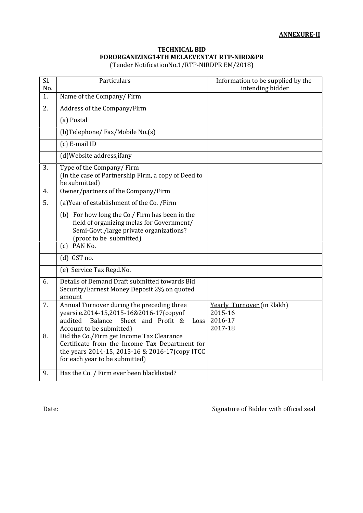### **TECHNICAL BID FORORGANIZING14TH MELAEVENTAT RTP-NIRD&PR** (Tender NotificationNo.1/RTP-NIRDPR EM/2018)

| Sl.<br>No. | Particulars                                                                                                                                                                     | Information to be supplied by the<br>intending bidder       |
|------------|---------------------------------------------------------------------------------------------------------------------------------------------------------------------------------|-------------------------------------------------------------|
| 1.         | Name of the Company/Firm                                                                                                                                                        |                                                             |
| 2.         | Address of the Company/Firm                                                                                                                                                     |                                                             |
|            | (a) Postal                                                                                                                                                                      |                                                             |
|            | (b)Telephone/Fax/Mobile No.(s)                                                                                                                                                  |                                                             |
|            | (c) E-mail ID                                                                                                                                                                   |                                                             |
|            | (d) Website address, if any                                                                                                                                                     |                                                             |
| 3.         | Type of the Company/Firm<br>(In the case of Partnership Firm, a copy of Deed to<br>be submitted)                                                                                |                                                             |
| 4.         | Owner/partners of the Company/Firm                                                                                                                                              |                                                             |
| 5.         | (a) Year of establishment of the Co. /Firm                                                                                                                                      |                                                             |
|            | (b) For how long the Co./ Firm has been in the<br>field of organizing melas for Government/<br>Semi-Govt./large private organizations?<br>(proof to be submitted)               |                                                             |
|            | $(c)$ PAN No.                                                                                                                                                                   |                                                             |
|            | $(d)$ GST no.                                                                                                                                                                   |                                                             |
|            | (e) Service Tax Regd.No.                                                                                                                                                        |                                                             |
| 6.         | Details of Demand Draft submitted towards Bid<br>Security/Earnest Money Deposit 2% on quoted<br>amount                                                                          |                                                             |
| 7.         | Annual Turnover during the preceding three<br>yearsi.e.2014-15,2015-16&2016-17(copyof<br>Balance<br>Sheet and Profit &<br>audited<br>Loss<br>Account to be submitted)           | Yearly Turnover (in ₹lakh)<br>2015-16<br>2016-17<br>2017-18 |
| 8.         | Did the Co./Firm get Income Tax Clearance<br>Certificate from the Income Tax Department for<br>the years 2014-15, 2015-16 & 2016-17(copy ITCC<br>for each year to be submitted) |                                                             |
| 9.         | Has the Co. / Firm ever been blacklisted?                                                                                                                                       |                                                             |

Date:  $\Box$  Signature of Bidder with official seal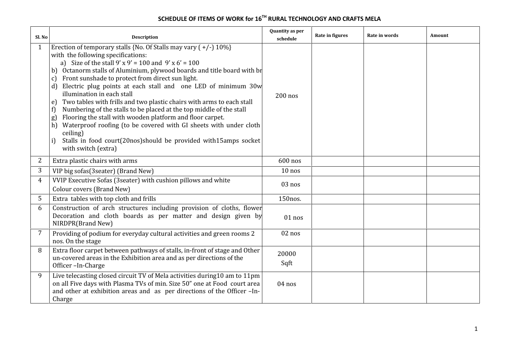# **SCHEDULE OF ITEMS OF WORK for 16TH RURAL TECHNOLOGY AND CRAFTS MELA**

| Sl. No       | <b>Description</b>                                                                                                                                                                                                                                                                                                                                                                                                                                                                                                                                                                                                                                                                                                                                                                                                                     | Quantity as per<br>schedule | Rate in figures | Rate in words | Amount |
|--------------|----------------------------------------------------------------------------------------------------------------------------------------------------------------------------------------------------------------------------------------------------------------------------------------------------------------------------------------------------------------------------------------------------------------------------------------------------------------------------------------------------------------------------------------------------------------------------------------------------------------------------------------------------------------------------------------------------------------------------------------------------------------------------------------------------------------------------------------|-----------------------------|-----------------|---------------|--------|
| $\mathbf{1}$ | Erection of temporary stalls {No. Of Stalls may vary $(+/-)$ 10%}<br>with the following specifications:<br>a) Size of the stall $9' \times 9' = 100$ and $9' \times 6' = 100$<br>b) Octanorm stalls of Aluminium, plywood boards and title board with br<br>c) Front sunshade to protect from direct sun light.<br>Electric plug points at each stall and one LED of minimum 30w<br>d)<br>illumination in each stall<br>Two tables with frills and two plastic chairs with arms to each stall<br>e)<br>Numbering of the stalls to be placed at the top middle of the stall<br>f<br>Flooring the stall with wooden platform and floor carpet.<br>g)<br>h) Waterproof roofing (to be covered with GI sheets with under cloth<br>ceiling)<br>Stalls in food court(20nos)should be provided with15amps socket<br>i)<br>with switch (extra) | $200$ nos                   |                 |               |        |
| 2            | Extra plastic chairs with arms                                                                                                                                                                                                                                                                                                                                                                                                                                                                                                                                                                                                                                                                                                                                                                                                         | 600 nos                     |                 |               |        |
| 3            | VIP big sofas(3seater) (Brand New)                                                                                                                                                                                                                                                                                                                                                                                                                                                                                                                                                                                                                                                                                                                                                                                                     | $10$ nos                    |                 |               |        |
| 4            | VVIP Executive Sofas (3seater) with cushion pillows and white<br>Colour covers (Brand New)                                                                                                                                                                                                                                                                                                                                                                                                                                                                                                                                                                                                                                                                                                                                             | 03 nos                      |                 |               |        |
| 5            | Extra tables with top cloth and frills                                                                                                                                                                                                                                                                                                                                                                                                                                                                                                                                                                                                                                                                                                                                                                                                 | 150nos.                     |                 |               |        |
| 6            | Construction of arch structures including provision of cloths, flower<br>Decoration and cloth boards as per matter and design given by<br>NIRDPR(Brand New)                                                                                                                                                                                                                                                                                                                                                                                                                                                                                                                                                                                                                                                                            | $01$ nos                    |                 |               |        |
| 7            | Providing of podium for everyday cultural activities and green rooms 2<br>nos. On the stage                                                                                                                                                                                                                                                                                                                                                                                                                                                                                                                                                                                                                                                                                                                                            | 02 nos                      |                 |               |        |
| 8            | Extra floor carpet between pathways of stalls, in-front of stage and Other<br>un-covered areas in the Exhibition area and as per directions of the<br>Officer-In-Charge                                                                                                                                                                                                                                                                                                                                                                                                                                                                                                                                                                                                                                                                | 20000<br>Sqft               |                 |               |        |
| 9            | Live telecasting closed circuit TV of Mela activities during10 am to 11pm<br>on all Five days with Plasma TVs of min. Size 50" one at Food court area<br>and other at exhibition areas and as per directions of the Officer -In-<br>Charge                                                                                                                                                                                                                                                                                                                                                                                                                                                                                                                                                                                             | 04 nos                      |                 |               |        |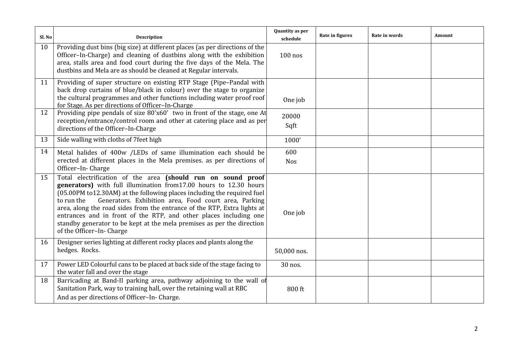| Sl. No | <b>Description</b>                                                                                                                                                                                                                                                                                                                                                                                                                                                                                                                         | Quantity as per<br>schedule | Rate in figures | Rate in words | Amount |
|--------|--------------------------------------------------------------------------------------------------------------------------------------------------------------------------------------------------------------------------------------------------------------------------------------------------------------------------------------------------------------------------------------------------------------------------------------------------------------------------------------------------------------------------------------------|-----------------------------|-----------------|---------------|--------|
| 10     | Providing dust bins (big size) at different places (as per directions of the<br>Officer-In-Charge) and cleaning of dustbins along with the exhibition<br>area, stalls area and food court during the five days of the Mela. The<br>dustbins and Mela are as should be cleaned at Regular intervals.                                                                                                                                                                                                                                        | $100$ nos                   |                 |               |        |
| 11     | Providing of super structure on existing RTP Stage (Pipe-Pandal with<br>back drop curtains of blue/black in colour) over the stage to organize<br>the cultural programmes and other functions including water proof roof<br>for Stage. As per directions of Officer-In-Charge                                                                                                                                                                                                                                                              | One job                     |                 |               |        |
| 12     | Providing pipe pendals of size 80'x60' two in front of the stage, one At<br>reception/entrance/control room and other at catering place and as per<br>directions of the Officer-In-Charge                                                                                                                                                                                                                                                                                                                                                  | 20000<br>Sqft               |                 |               |        |
| 13     | Side walling with cloths of 7 feet high                                                                                                                                                                                                                                                                                                                                                                                                                                                                                                    | 1000'                       |                 |               |        |
| 14     | Metal halides of 400w /LEDs of same illumination each should be<br>erected at different places in the Mela premises. as per directions of<br>Officer-In-Charge                                                                                                                                                                                                                                                                                                                                                                             | 600<br><b>Nos</b>           |                 |               |        |
| 15     | Total electrification of the area (should run on sound proof<br>generators) with full illumination from17.00 hours to 12.30 hours<br>(05.00PM to12.30AM) at the following places including the required fuel<br>Generators. Exhibition area, Food court area, Parking<br>to run the<br>area, along the road sides from the entrance of the RTP, Extra lights at<br>entrances and in front of the RTP, and other places including one<br>standby generator to be kept at the mela premises as per the direction<br>of the Officer-In-Charge | One job                     |                 |               |        |
| 16     | Designer series lighting at different rocky places and plants along the<br>hedges. Rocks.                                                                                                                                                                                                                                                                                                                                                                                                                                                  | 50,000 nos.                 |                 |               |        |
| 17     | Power LED Colourful cans to be placed at back side of the stage facing to<br>the water fall and over the stage                                                                                                                                                                                                                                                                                                                                                                                                                             | 30 nos.                     |                 |               |        |
| 18     | Barricading at Band-II parking area, pathway adjoining to the wall of<br>Sanitation Park, way to training hall, over the retaining wall at RBC<br>And as per directions of Officer-In-Charge.                                                                                                                                                                                                                                                                                                                                              | 800 ft                      |                 |               |        |